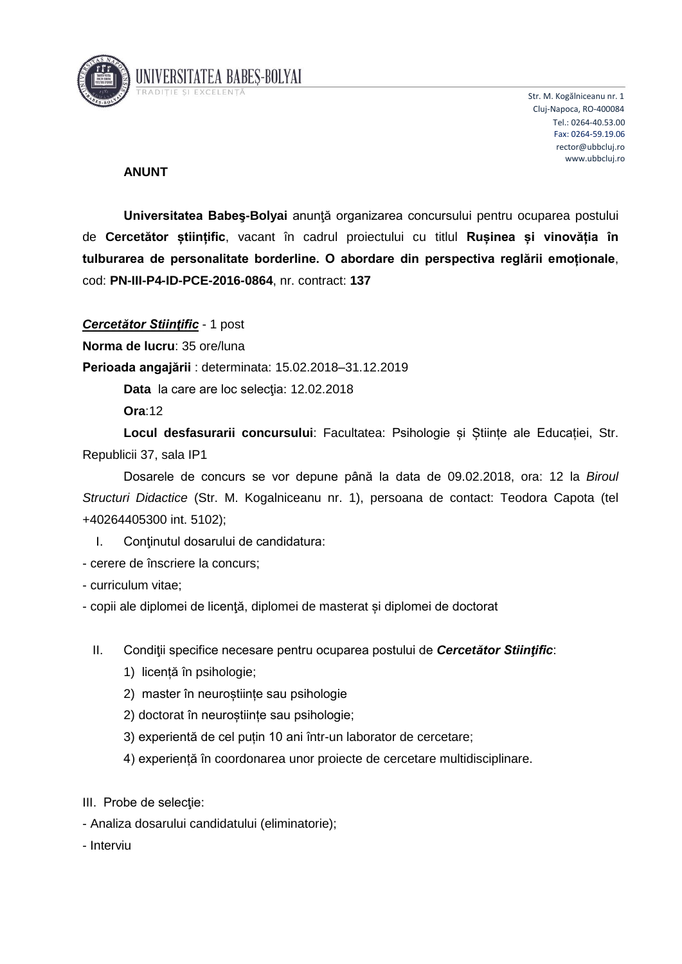

UNIVERSITATEA BABES-BOLYAI

Str. M. Kogălniceanu nr. 1 Cluj-Napoca, RO-400084 Tel.: 0264-40.53.00 Fax: 0264-59.19.06 rector@ubbcluj.ro www.ubbcluj.ro

## **ANUNT**

**Universitatea Babeş-Bolyai** anunţă organizarea concursului pentru ocuparea postului de **Cercetător științific**, vacant în cadrul proiectului cu titlul **Rușinea și vinovăția în tulburarea de personalitate borderline. O abordare din perspectiva reglării emoționale**, cod: **PN-III-P4-ID-PCE-2016-0864**, nr. contract: **137**

*Cercetător Stiinţific* - 1 post

**Norma de lucru**: 35 ore/luna

**Perioada angajării** : determinata: 15.02.2018–31.12.2019

**Data** la care are loc selecţia: 12.02.2018

**Ora**:12

**Locul desfasurarii concursului**: Facultatea: Psihologie și Științe ale Educației, Str. Republicii 37, sala IP1

Dosarele de concurs se vor depune până la data de 09.02.2018, ora: 12 la *Biroul Structuri Didactice* (Str. M. Kogalniceanu nr. 1), persoana de contact: Teodora Capota (tel +40264405300 int. 5102);

- I. Conţinutul dosarului de candidatura:
- cerere de înscriere la concurs;
- curriculum vitae;

- copii ale diplomei de licenţă, diplomei de masterat și diplomei de doctorat

- II. Condiţii specifice necesare pentru ocuparea postului de *Cercetător Stiinţific*:
	- 1) licență în psihologie;
	- 2) master în neuroștiințe sau psihologie
	- 2) doctorat în neuroștiințe sau psihologie;
	- 3) experientă de cel puțin 10 ani într-un laborator de cercetare;
	- 4) experiență în coordonarea unor proiecte de cercetare multidisciplinare.

III. Probe de selecție:

- Analiza dosarului candidatului (eliminatorie);
- Interviu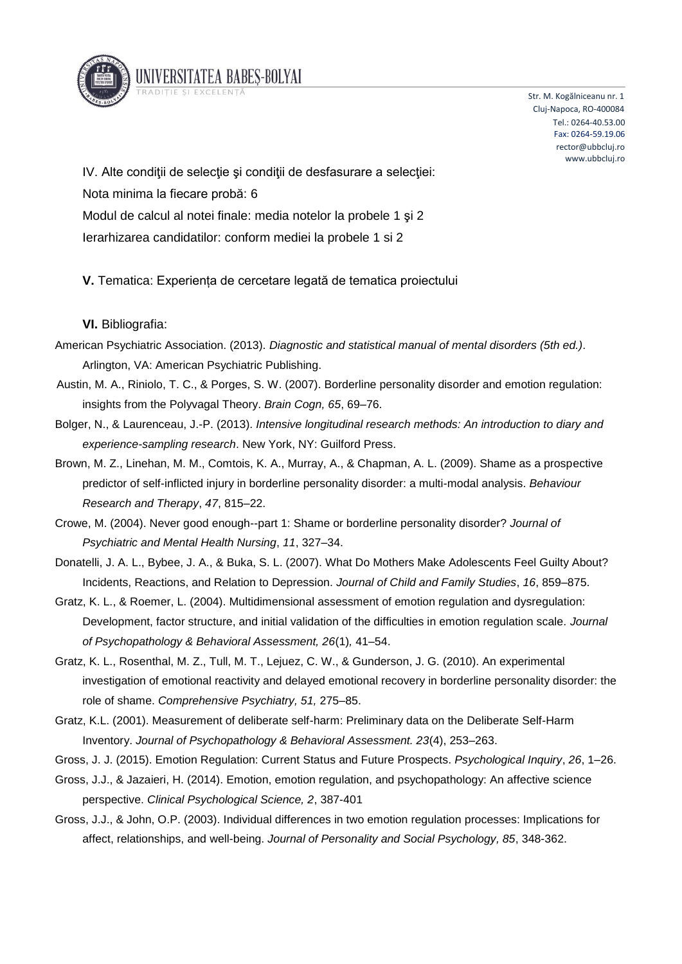

Str. M. Kogălniceanu nr. 1 Cluj-Napoca, RO-400084 Tel.: 0264-40.53.00 Fax: 0264-59.19.06 rector@ubbcluj.ro www.ubbcluj.ro

IV. Alte condiții de selecție și condiții de desfasurare a selecției: Nota minima la fiecare probă: 6 Modul de calcul al notei finale: media notelor la probele 1 şi 2 Ierarhizarea candidatilor: conform mediei la probele 1 si 2

UNIVERSITATEA BABES-BOLYAI

**V.** Tematica: Experiența de cercetare legată de tematica proiectului

## **VI.** Bibliografia:

- American Psychiatric Association. (2013). *Diagnostic and statistical manual of mental disorders (5th ed.)*. Arlington, VA: American Psychiatric Publishing.
- Austin, M. A., Riniolo, T. C., & Porges, S. W. (2007). Borderline personality disorder and emotion regulation: insights from the Polyvagal Theory. *Brain Cogn, 65*, 69–76.
- Bolger, N., & Laurenceau, J.-P. (2013). *Intensive longitudinal research methods: An introduction to diary and experience-sampling research*. New York, NY: Guilford Press.
- Brown, M. Z., Linehan, M. M., Comtois, K. A., Murray, A., & Chapman, A. L. (2009). Shame as a prospective predictor of self-inflicted injury in borderline personality disorder: a multi-modal analysis. *Behaviour Research and Therapy*, *47*, 815–22.
- Crowe, M. (2004). Never good enough--part 1: Shame or borderline personality disorder? *Journal of Psychiatric and Mental Health Nursing*, *11*, 327–34.
- Donatelli, J. A. L., Bybee, J. A., & Buka, S. L. (2007). What Do Mothers Make Adolescents Feel Guilty About? Incidents, Reactions, and Relation to Depression. *Journal of Child and Family Studies*, *16*, 859–875.
- Gratz, K. L., & Roemer, L. (2004). Multidimensional assessment of emotion regulation and dysregulation: Development, factor structure, and initial validation of the difficulties in emotion regulation scale. *Journal of Psychopathology & Behavioral Assessment, 26*(1)*,* 41–54.
- Gratz, K. L., Rosenthal, M. Z., Tull, M. T., Lejuez, C. W., & Gunderson, J. G. (2010). An experimental investigation of emotional reactivity and delayed emotional recovery in borderline personality disorder: the role of shame. *Comprehensive Psychiatry, 51,* 275–85.
- Gratz, K.L. (2001). Measurement of deliberate self-harm: Preliminary data on the Deliberate Self-Harm Inventory. *Journal of Psychopathology & Behavioral Assessment. 23*(4), 253–263.

Gross, J. J. (2015). Emotion Regulation: Current Status and Future Prospects. *Psychological Inquiry*, *26*, 1–26.

- Gross, J.J., & Jazaieri, H. (2014). Emotion, emotion regulation, and psychopathology: An affective science perspective. *Clinical Psychological Science, 2*, 387-401
- Gross, J.J., & John, O.P. (2003). Individual differences in two emotion regulation processes: Implications for affect, relationships, and well-being. *Journal of Personality and Social Psychology, 85*, 348-362.